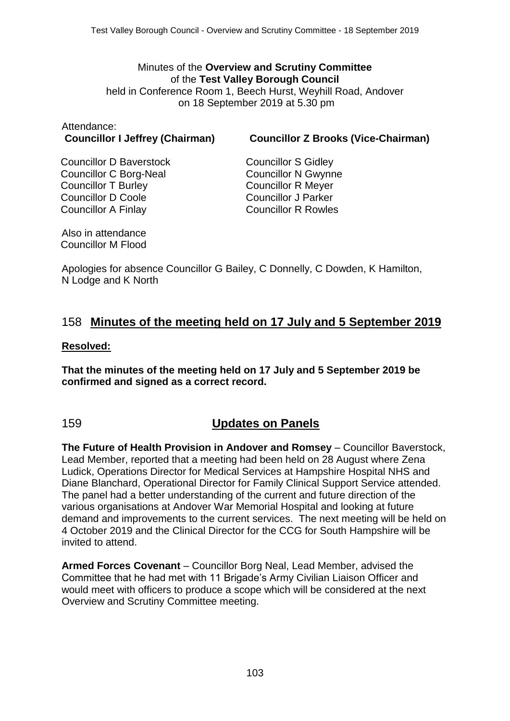#### Minutes of the **Overview and Scrutiny Committee** of the **Test Valley Borough Council** held in Conference Room 1, Beech Hurst, Weyhill Road, Andover on 18 September 2019 at 5.30 pm

# Attendance:

**Councillor I Jeffrey (Chairman) Councillor Z Brooks (Vice-Chairman)**

Councillor D Baverstock Councillor C Borg-Neal Councillor T Burley Councillor D Coole Councillor A Finlay

Councillor S Gidley Councillor N Gwynne Councillor R Meyer Councillor J Parker Councillor R Rowles

Also in attendance Councillor M Flood

Apologies for absence Councillor G Bailey, C Donnelly, C Dowden, K Hamilton, N Lodge and K North

## 158 **Minutes of the meeting held on 17 July and 5 September 2019**

#### **Resolved:**

**That the minutes of the meeting held on 17 July and 5 September 2019 be confirmed and signed as a correct record.**

### 159 **Updates on Panels**

**The Future of Health Provision in Andover and Romsey** – Councillor Baverstock, Lead Member, reported that a meeting had been held on 28 August where Zena Ludick, Operations Director for Medical Services at Hampshire Hospital NHS and Diane Blanchard, Operational Director for Family Clinical Support Service attended. The panel had a better understanding of the current and future direction of the various organisations at Andover War Memorial Hospital and looking at future demand and improvements to the current services. The next meeting will be held on 4 October 2019 and the Clinical Director for the CCG for South Hampshire will be invited to attend.

**Armed Forces Covenant** – Councillor Borg Neal, Lead Member, advised the Committee that he had met with 11 Brigade's Army Civilian Liaison Officer and would meet with officers to produce a scope which will be considered at the next Overview and Scrutiny Committee meeting.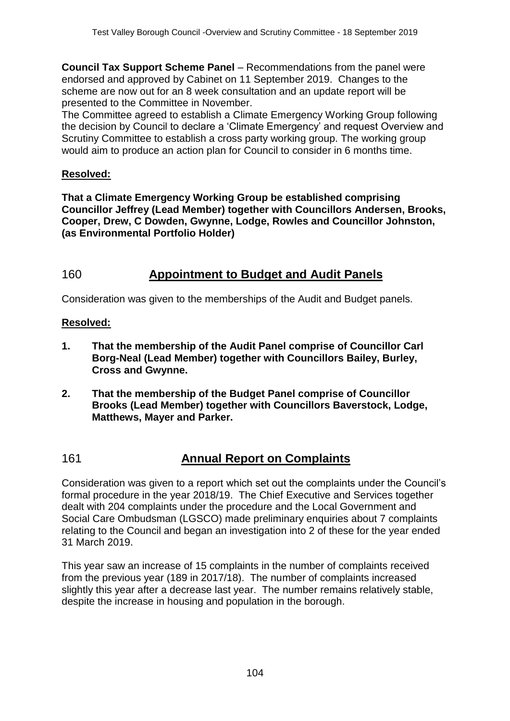**Council Tax Support Scheme Panel – Recommendations from the panel were** endorsed and approved by Cabinet on 11 September 2019. Changes to the scheme are now out for an 8 week consultation and an update report will be presented to the Committee in November.

The Committee agreed to establish a Climate Emergency Working Group following the decision by Council to declare a 'Climate Emergency' and request Overview and Scrutiny Committee to establish a cross party working group. The working group would aim to produce an action plan for Council to consider in 6 months time.

#### **Resolved:**

**That a Climate Emergency Working Group be established comprising Councillor Jeffrey (Lead Member) together with Councillors Andersen, Brooks, Cooper, Drew, C Dowden, Gwynne, Lodge, Rowles and Councillor Johnston, (as Environmental Portfolio Holder)**

# 160 **Appointment to Budget and Audit Panels**

Consideration was given to the memberships of the Audit and Budget panels.

#### **Resolved:**

- **1. That the membership of the Audit Panel comprise of Councillor Carl Borg-Neal (Lead Member) together with Councillors Bailey, Burley, Cross and Gwynne.**
- **2. That the membership of the Budget Panel comprise of Councillor Brooks (Lead Member) together with Councillors Baverstock, Lodge, Matthews, Mayer and Parker.**

# 161 **Annual Report on Complaints**

Consideration was given to a report which set out the complaints under the Council's formal procedure in the year 2018/19. The Chief Executive and Services together dealt with 204 complaints under the procedure and the Local Government and Social Care Ombudsman (LGSCO) made preliminary enquiries about 7 complaints relating to the Council and began an investigation into 2 of these for the year ended 31 March 2019.

This year saw an increase of 15 complaints in the number of complaints received from the previous year (189 in 2017/18). The number of complaints increased slightly this year after a decrease last year. The number remains relatively stable, despite the increase in housing and population in the borough.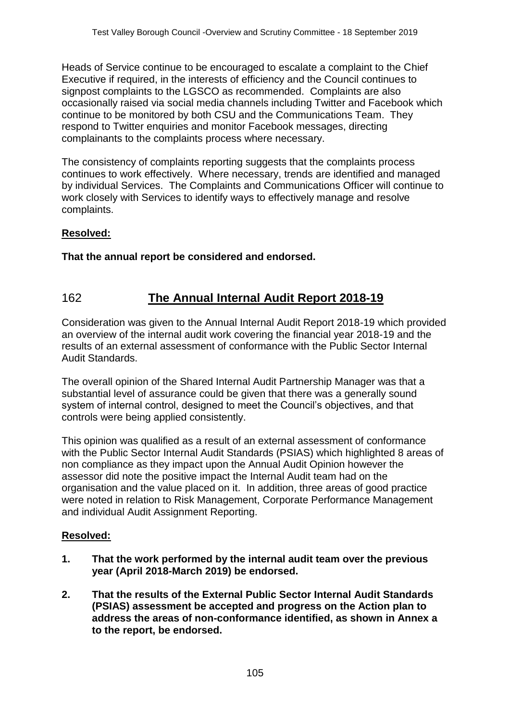Heads of Service continue to be encouraged to escalate a complaint to the Chief Executive if required, in the interests of efficiency and the Council continues to signpost complaints to the LGSCO as recommended. Complaints are also occasionally raised via social media channels including Twitter and Facebook which continue to be monitored by both CSU and the Communications Team. They respond to Twitter enquiries and monitor Facebook messages, directing complainants to the complaints process where necessary.

The consistency of complaints reporting suggests that the complaints process continues to work effectively. Where necessary, trends are identified and managed by individual Services. The Complaints and Communications Officer will continue to work closely with Services to identify ways to effectively manage and resolve complaints.

#### **Resolved:**

**That the annual report be considered and endorsed.**

# 162 **The Annual Internal Audit Report 2018-19**

Consideration was given to the Annual Internal Audit Report 2018-19 which provided an overview of the internal audit work covering the financial year 2018-19 and the results of an external assessment of conformance with the Public Sector Internal Audit Standards.

The overall opinion of the Shared Internal Audit Partnership Manager was that a substantial level of assurance could be given that there was a generally sound system of internal control, designed to meet the Council's objectives, and that controls were being applied consistently.

This opinion was qualified as a result of an external assessment of conformance with the Public Sector Internal Audit Standards (PSIAS) which highlighted 8 areas of non compliance as they impact upon the Annual Audit Opinion however the assessor did note the positive impact the Internal Audit team had on the organisation and the value placed on it. In addition, three areas of good practice were noted in relation to Risk Management, Corporate Performance Management and individual Audit Assignment Reporting.

#### **Resolved:**

- **1. That the work performed by the internal audit team over the previous year (April 2018-March 2019) be endorsed.**
- **2. That the results of the External Public Sector Internal Audit Standards (PSIAS) assessment be accepted and progress on the Action plan to address the areas of non-conformance identified, as shown in Annex a to the report, be endorsed.**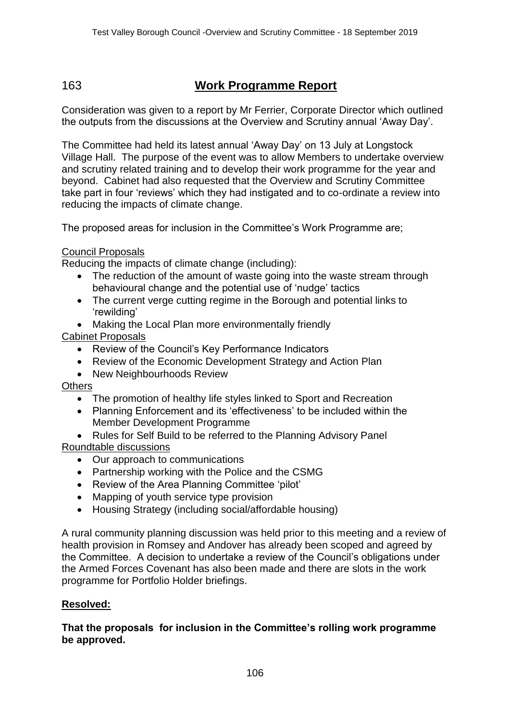# 163 **Work Programme Report**

Consideration was given to a report by Mr Ferrier, Corporate Director which outlined the outputs from the discussions at the Overview and Scrutiny annual 'Away Day'.

The Committee had held its latest annual 'Away Day' on 13 July at Longstock Village Hall. The purpose of the event was to allow Members to undertake overview and scrutiny related training and to develop their work programme for the year and beyond. Cabinet had also requested that the Overview and Scrutiny Committee take part in four 'reviews' which they had instigated and to co-ordinate a review into reducing the impacts of climate change.

The proposed areas for inclusion in the Committee's Work Programme are;

#### Council Proposals

Reducing the impacts of climate change (including):

- The reduction of the amount of waste going into the waste stream through behavioural change and the potential use of 'nudge' tactics
- The current verge cutting regime in the Borough and potential links to 'rewilding'
- Making the Local Plan more environmentally friendly

Cabinet Proposals

- Review of the Council's Key Performance Indicators
- Review of the Economic Development Strategy and Action Plan
- New Neighbourhoods Review

Others

- The promotion of healthy life styles linked to Sport and Recreation
- Planning Enforcement and its 'effectiveness' to be included within the Member Development Programme
- Rules for Self Build to be referred to the Planning Advisory Panel

Roundtable discussions

- Our approach to communications
- Partnership working with the Police and the CSMG
- Review of the Area Planning Committee 'pilot'
- Mapping of youth service type provision
- Housing Strategy (including social/affordable housing)

A rural community planning discussion was held prior to this meeting and a review of health provision in Romsey and Andover has already been scoped and agreed by the Committee. A decision to undertake a review of the Council's obligations under the Armed Forces Covenant has also been made and there are slots in the work programme for Portfolio Holder briefings.

#### **Resolved:**

#### **That the proposals for inclusion in the Committee's rolling work programme be approved.**